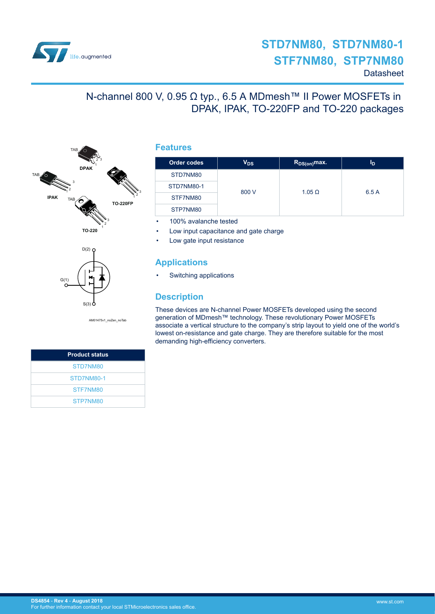

# N-channel 800 V, 0.95 Ω typ., 6.5 A MDmesh™ II Power MOSFETs in DPAK, IPAK, TO-220FP and TO-220 packages





AM01475v1\_noZen\_noTab

| <b>Product status</b> |
|-----------------------|
| STD7NM80              |
| STD7NM80-1            |
| STF7NM80              |
| STP7NM80              |

### **Features**

| Order codes | V <sub>DS</sub> | $R_{DS(on)}$ max. | Iр    |
|-------------|-----------------|-------------------|-------|
| STD7NM80    |                 |                   | 6.5 A |
| STD7NM80-1  | 800 V           | $1.05 \Omega$     |       |
| STF7NM80    |                 |                   |       |
| STP7NM80    |                 |                   |       |

• 100% avalanche tested

- Low input capacitance and gate charge
- Low gate input resistance

### **Applications**

• Switching applications

### **Description**

These devices are N-channel Power MOSFETs developed using the second generation of MDmesh™ technology. These revolutionary Power MOSFETs associate a vertical structure to the company's strip layout to yield one of the world's lowest on-resistance and gate charge. They are therefore suitable for the most demanding high-efficiency converters.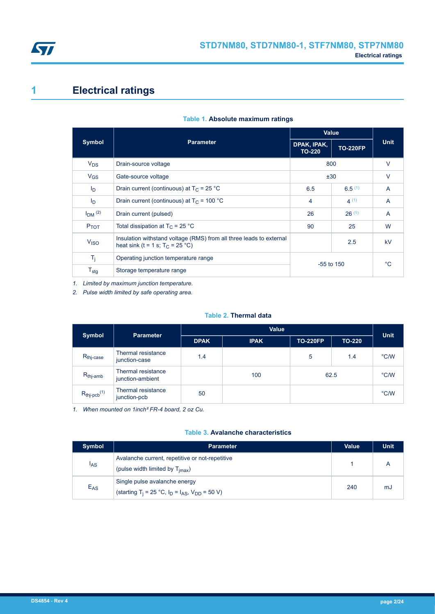<span id="page-1-0"></span>

# **1 Electrical ratings**

|                  |                                                                                                            | Value                        |                 |             |
|------------------|------------------------------------------------------------------------------------------------------------|------------------------------|-----------------|-------------|
| <b>Symbol</b>    | <b>Parameter</b>                                                                                           | DPAK, IPAK,<br><b>TO-220</b> | <b>TO-220FP</b> | <b>Unit</b> |
| $V_{DS}$         | Drain-source voltage                                                                                       | 800                          |                 | $\vee$      |
| $V_{GS}$         | Gate-source voltage                                                                                        | ±30                          |                 | $\vee$      |
| I <sub>D</sub>   | Drain current (continuous) at $T_C = 25 °C$                                                                | 6.5                          | 6.5(1)          | A           |
| I <sub>D</sub>   | Drain current (continuous) at $T_c$ = 100 °C                                                               | $\overline{4}$               | 4(1)            | A           |
| $IDM$ (2)        | Drain current (pulsed)                                                                                     | 26                           | 26(1)           | A           |
| P <sub>TOT</sub> | Total dissipation at $T_C = 25$ °C                                                                         | 90                           | 25              | W           |
| V <sub>ISO</sub> | Insulation withstand voltage (RMS) from all three leads to external<br>heat sink (t = 1 s; $T_C = 25 °C$ ) |                              | 2.5             | kV          |
| $T_j$            | Operating junction temperature range                                                                       |                              | $-55$ to $150$  | °C.         |
| $T_{\text{stg}}$ | Storage temperature range                                                                                  |                              |                 |             |

#### **Table 1. Absolute maximum ratings**

*1. Limited by maximum junction temperature.*

*2. Pulse width limited by safe operating area.*

### **Table 2. Thermal data**

| <b>Symbol</b>                | <b>Parameter</b>                       | <b>Value</b> |             |                 |               |               |
|------------------------------|----------------------------------------|--------------|-------------|-----------------|---------------|---------------|
|                              |                                        | <b>DPAK</b>  | <b>IPAK</b> | <b>TO-220FP</b> | <b>TO-220</b> | <b>Unit</b>   |
| $R_{\text{thj-case}}$        | Thermal resistance<br>junction-case    | 1.4          |             | 5               | 1.4           | $\degree$ C/W |
| $R_{thj-amb}$                | Thermal resistance<br>junction-ambient |              | 100         | 62.5            |               | °C/W          |
| $R_{thj-pcb}$ <sup>(1)</sup> | Thermal resistance<br>junction-pcb     | 50           |             |                 |               | °C/W          |

*1. When mounted on 1inch² FR-4 board, 2 oz Cu.*

#### **Table 3. Avalanche characteristics**

| <b>Symbol</b>   | <b>Parameter</b>                                                                                      | Value | <b>Unit</b> |
|-----------------|-------------------------------------------------------------------------------------------------------|-------|-------------|
| <sup>I</sup> AS | Avalanche current, repetitive or not-repetitive<br>(pulse width limited by $T_{\text{imax}}$ )        |       |             |
| $E_{AS}$        | Single pulse avalanche energy<br>(starting T <sub>j</sub> = 25 °C, $I_D = I_{AS}$ , $V_{DD} = 50 V$ ) | 240   | mJ          |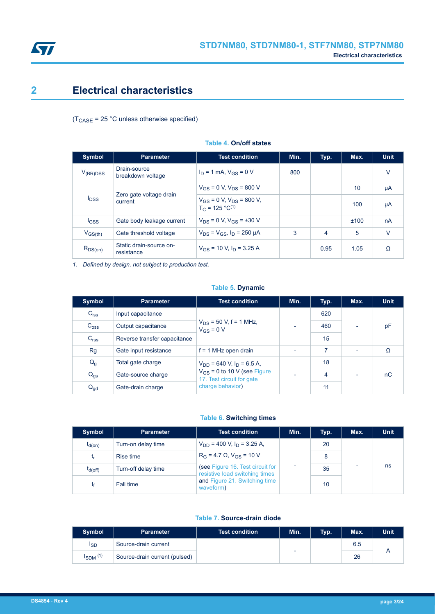<span id="page-2-0"></span>

# **2 Electrical characteristics**

 $(T_{\text{CASE}} = 25 \text{ °C}$  unless otherwise specified)

| <b>Symbol</b>   | <b>Parameter</b>                                              | <b>Test condition</b>                                     | Min. | Typ. | Max. | <b>Unit</b> |
|-----------------|---------------------------------------------------------------|-----------------------------------------------------------|------|------|------|-------------|
| $V_{(BR)DSS}$   | Drain-source<br>breakdown voltage                             | $I_D = 1$ mA, $V_{GS} = 0$ V                              | 800  |      |      | v           |
|                 | Zero gate voltage drain<br><b>I</b> <sub>DSS</sub><br>current | $V_{GS}$ = 0 V, $V_{DS}$ = 800 V                          |      |      | 10   | μA          |
|                 |                                                               | $V_{GS}$ = 0 V, $V_{DS}$ = 800 V,<br>$T_C = 125 °C^{(1)}$ |      |      | 100  | μA          |
| $_{\text{GSS}}$ | Gate body leakage current                                     | $V_{DS} = 0$ V, $V_{GS} = \pm 30$ V                       |      |      | ±100 | nA          |
| $V_{GS(th)}$    | Gate threshold voltage                                        | $V_{DS} = V_{GS}$ , $I_D = 250 \mu A$                     | 3    | 4    | 5    | $\vee$      |
| $R_{DS(on)}$    | Static drain-source on-<br>resistance                         | $V_{GS}$ = 10 V, $I_D$ = 3.25 A                           |      | 0.95 | 1.05 | Ω           |

#### **Table 4. On/off states**

*1. Defined by design, not subject to production test.*

#### **Table 5. Dynamic**

| Symbol           | <b>Parameter</b>             | <b>Test condition</b>                                         | Min.                     | Typ. | Max.                     | <b>Unit</b> |
|------------------|------------------------------|---------------------------------------------------------------|--------------------------|------|--------------------------|-------------|
| $C_{iss}$        | Input capacitance            |                                                               |                          | 620  |                          |             |
| C <sub>oss</sub> | Output capacitance           | $V_{DS}$ = 50 V, f = 1 MHz,<br>$V_{GS} = 0 V$                 | $\overline{\phantom{0}}$ | 460  | ٠                        | pF          |
| C <sub>rss</sub> | Reverse transfer capacitance |                                                               |                          | 15   |                          |             |
| Rg               | Gate input resistance        | $f = 1$ MHz open drain                                        | $\overline{\phantom{0}}$ | 7    | $\overline{\phantom{0}}$ | Ω           |
| $Q_g$            | Total gate charge            | $V_{DD}$ = 640 V, I <sub>D</sub> = 6.5 A,                     |                          | 18   |                          |             |
| $Q_{gs}$         | Gate-source charge           | $V_{GS}$ = 0 to 10 V (see Figure<br>17. Test circuit for gate | $\overline{\phantom{0}}$ | 4    | ٠                        | nC          |
| $Q_{gd}$         | Gate-drain charge            | charge behavior)                                              |                          | 11   |                          |             |

#### **Table 6. Switching times**

| <b>Symbol</b> | <b>Parameter</b>    | <b>Test condition</b>                                              | Min. | Typ. | Max. | <b>Unit</b> |
|---------------|---------------------|--------------------------------------------------------------------|------|------|------|-------------|
| $t_{d(on)}$   | Turn-on delay time  | $V_{DD}$ = 400 V, $I_D$ = 3.25 A,                                  |      | 20   |      |             |
| t,            | Rise time           | $R_G = 4.7 \Omega$ , $V_{GS} = 10 V$                               |      | 8    |      | ns          |
| $t_{d(Off)}$  | Turn-off delay time | (see Figure 16. Test circuit for<br>resistive load switching times | ٠    | 35   |      |             |
| t۴            | Fall time           | and Figure 21. Switching time<br>waveform)                         |      | 10   |      |             |

#### **Table 7. Source-drain diode**

| <b>Symbol</b>            | <b>Parameter</b>              | <b>Test condition</b> | Min. | Typ. | Max. | <b>Unit</b> |
|--------------------------|-------------------------------|-----------------------|------|------|------|-------------|
| ISD                      | Source-drain current          |                       |      |      | 6.5  |             |
| $I_{SDM}$ <sup>(1)</sup> | Source-drain current (pulsed) |                       | ۰    |      | 26   |             |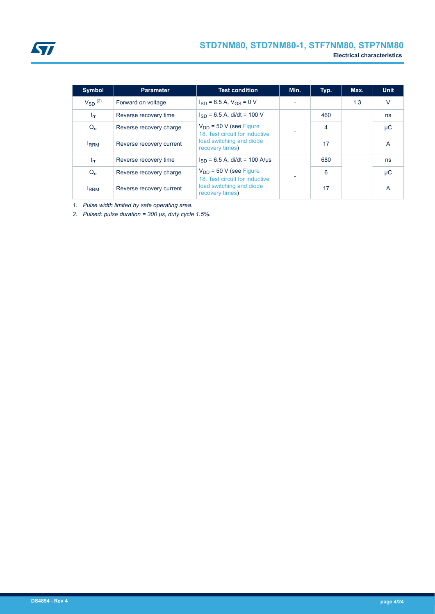<span id="page-3-0"></span>

| <b>Symbol</b>   | <b>Parameter</b>         | <b>Test condition</b>                                         | Min.                           | Typ. | Max. | <b>Unit</b> |         |
|-----------------|--------------------------|---------------------------------------------------------------|--------------------------------|------|------|-------------|---------|
| $V_{SD}$ $(2)$  | Forward on voltage       | $I_{SD}$ = 6.5 A, $V_{GS}$ = 0 V                              |                                |      | 1.3  | $\vee$      |         |
| $t_{rr}$        | Reverse recovery time    | $I_{SD}$ = 6.5 A, di/dt = 100 V                               |                                | 460  |      | ns          |         |
| $Q_{\text{rr}}$ | Reverse recovery charge  | $V_{DD}$ = 50 V (see Figure                                   | 18. Test circuit for inductive |      | 4    |             | $\mu$ C |
| <b>IRRM</b>     | Reverse recovery current | load switching and diode<br>recovery times)                   |                                | 17   |      | A           |         |
| $t_{rr}$        | Reverse recovery time    | $I_{SD}$ = 6.5 A, di/dt = 100 A/µs                            |                                | 680  |      | ns          |         |
| $Q_{rr}$        | Reverse recovery charge  | $V_{DD}$ = 50 V (see Figure<br>18. Test circuit for inductive |                                |      | 6    |             | μC      |
| <b>IRRM</b>     | Reverse recovery current | load switching and diode<br>recovery times)                   |                                | 17   |      | A           |         |

*1. Pulse width limited by safe operating area.*

*2. Pulsed: pulse duration = 300 μs, duty cycle 1.5%.*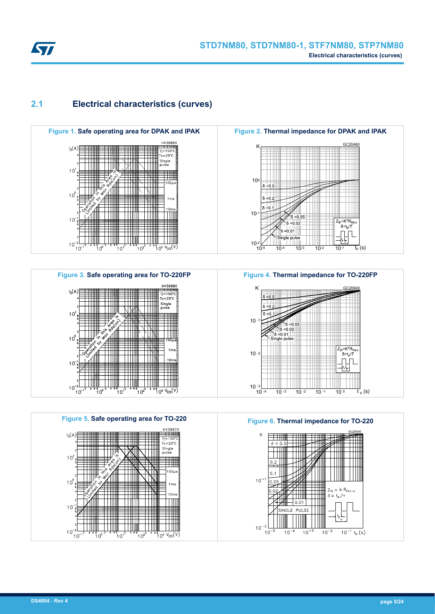<span id="page-4-0"></span>

## **2.1 Electrical characteristics (curves)**





**Figure 5. Safe operating area for TO-220 Figure 6. Thermal impedance for TO-220**  $\frac{1}{1}$ <br>Tj=150°C;  $Tc = 25^\circ$ Single<br>pulse ĦШ  $1<sup>c</sup>$ ₩  $100\mu$ 게 ШI . I'N  $10<sup>6</sup>$  $1<sub>m</sub>$  $10$ ╤╤╪╪╪╬ ШI  $10$ l III  $10<sup>°</sup>$  $\frac{1}{10^{12}}$  $\frac{1}{10^3} \frac{V_{DS}(V)}{V_{DS}(V)}$ i d  $10^2$ 





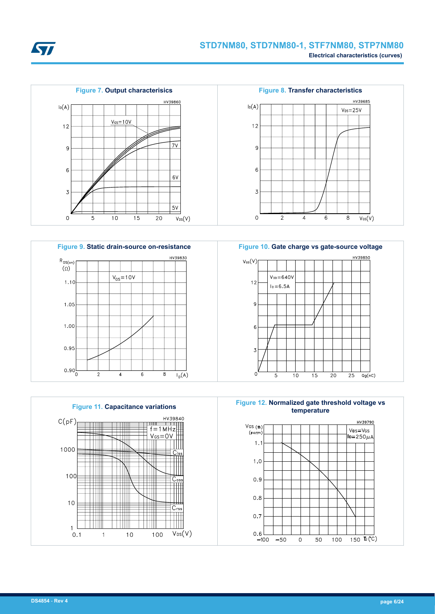











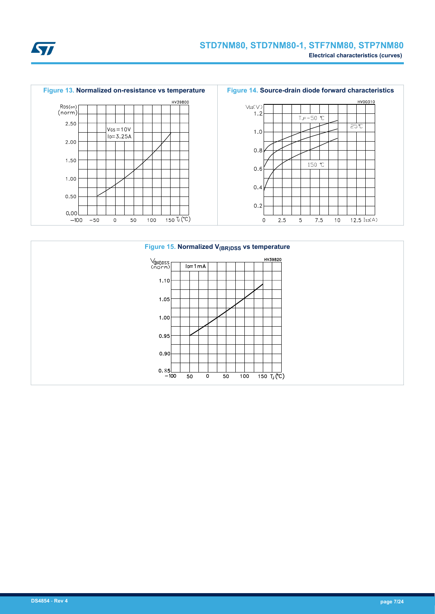



**ST**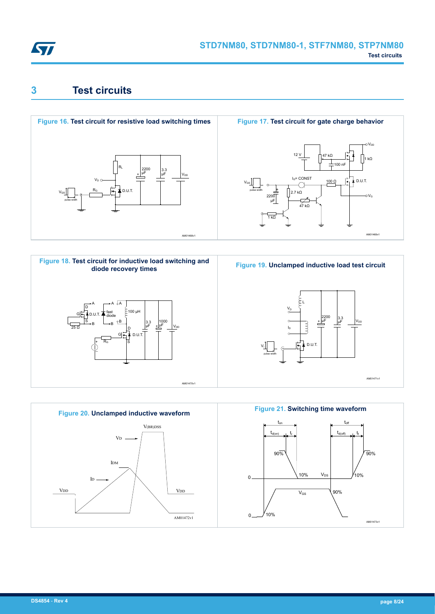<span id="page-7-0"></span>

# **3 Test circuits**







AM01469v1

 $1 kQ$ 

oVor

 $\sim$ 



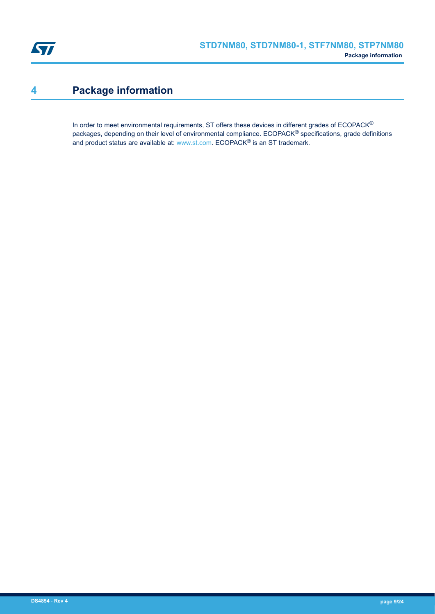<span id="page-8-0"></span>

# **4 Package information**

In order to meet environmental requirements, ST offers these devices in different grades of ECOPACK® packages, depending on their level of environmental compliance. ECOPACK® specifications, grade definitions and product status are available at: [www.st.com.](http://www.st.com) ECOPACK® is an ST trademark.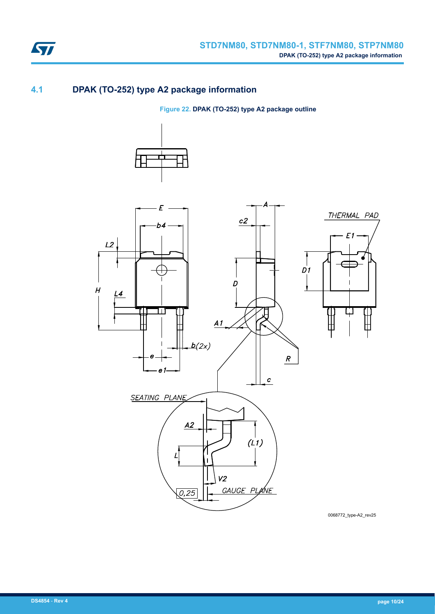

## **4.1 DPAK (TO-252) type A2 package information**

**Figure 22. DPAK (TO-252) type A2 package outline**





0068772\_type-A2\_rev25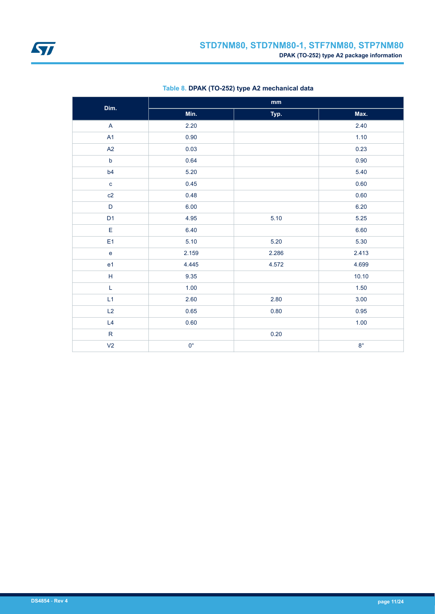

| Dim.                      | $\mathop{\text{mm}}\nolimits$ |       |             |  |  |  |
|---------------------------|-------------------------------|-------|-------------|--|--|--|
|                           | Min.                          | Typ.  | Max.        |  |  |  |
| $\boldsymbol{\mathsf{A}}$ | 2.20                          |       | 2.40        |  |  |  |
| A1                        | 0.90                          |       | 1.10        |  |  |  |
| A2                        | 0.03                          |       | 0.23        |  |  |  |
| $\mathsf b$               | 0.64                          |       | 0.90        |  |  |  |
| b4                        | 5.20                          |       | 5.40        |  |  |  |
| $\mathbf c$               | 0.45                          |       | 0.60        |  |  |  |
| c2                        | 0.48                          |       | 0.60        |  |  |  |
| $\mathsf D$               | 6.00                          |       | 6.20        |  |  |  |
| D <sub>1</sub>            | 4.95                          | 5.10  | 5.25        |  |  |  |
| $\mathsf E$               | 6.40                          |       | 6.60        |  |  |  |
| E <sub>1</sub>            | 5.10                          | 5.20  | 5.30        |  |  |  |
| $\mathbf e$               | 2.159                         | 2.286 | 2.413       |  |  |  |
| e <sub>1</sub>            | 4.445                         | 4.572 | 4.699       |  |  |  |
| $\mathsf H$               | 9.35                          |       | 10.10       |  |  |  |
| $\mathsf L$               | 1.00                          |       | 1.50        |  |  |  |
| L1                        | 2.60                          | 2.80  | 3.00        |  |  |  |
| L2                        | 0.65                          | 0.80  | 0.95        |  |  |  |
| L4                        | 0.60                          |       | 1.00        |  |  |  |
| ${\sf R}$                 |                               | 0.20  |             |  |  |  |
| V <sub>2</sub>            | $0^{\circ}$                   |       | $8^{\circ}$ |  |  |  |

### **Table 8. DPAK (TO-252) type A2 mechanical data**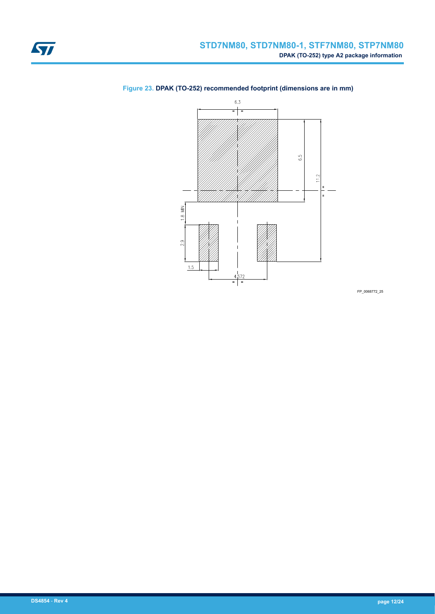

### <span id="page-11-0"></span>**Figure 23. DPAK (TO-252) recommended footprint (dimensions are in mm)**

FP\_0068772\_25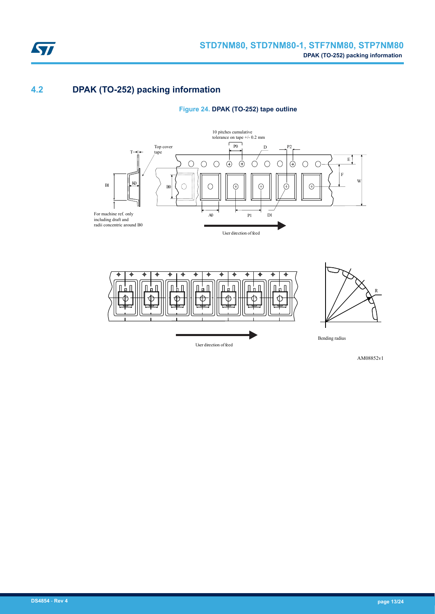

## **4.2 DPAK (TO-252) packing information**

**Figure 24. DPAK (TO-252) tape outline**





AM08852v1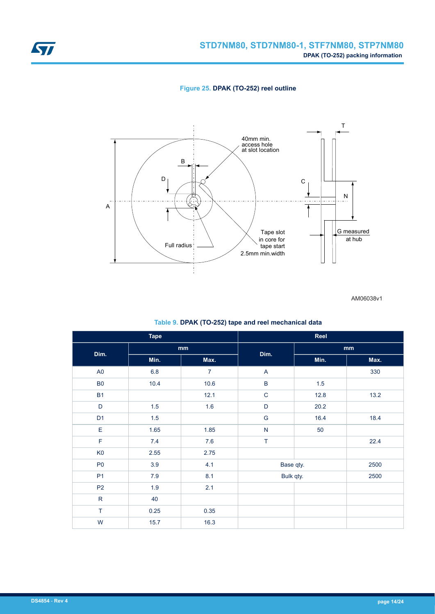<span id="page-13-0"></span>

**Figure 25. DPAK (TO-252) reel outline**



AM06038v1

#### **Table 9. DPAK (TO-252) tape and reel mechanical data**

| <b>Tape</b>    |         |                | Reel                      |         |      |  |
|----------------|---------|----------------|---------------------------|---------|------|--|
| Dim.           |         | mm             | Dim.                      | mm      |      |  |
|                | Min.    | Max.           |                           | Min.    | Max. |  |
| A <sub>0</sub> | $6.8\,$ | $\overline{7}$ | $\boldsymbol{\mathsf{A}}$ |         | 330  |  |
| B <sub>0</sub> | 10.4    | 10.6           | $\sf B$                   | $1.5\,$ |      |  |
| <b>B1</b>      |         | 12.1           | $\mathsf C$               | 12.8    | 13.2 |  |
| D              | 1.5     | 1.6            | $\mathsf D$               | 20.2    |      |  |
| D <sub>1</sub> | 1.5     |                | G                         | 16.4    | 18.4 |  |
| $\mathsf E$    | 1.65    | 1.85           | $\overline{\mathsf{N}}$   | 50      |      |  |
| $\mathsf F$    | 7.4     | $7.6\,$        | T                         |         | 22.4 |  |
| K <sub>0</sub> | 2.55    | 2.75           |                           |         |      |  |
| P <sub>0</sub> | 3.9     | 4.1            | Base qty.                 |         | 2500 |  |
| P <sub>1</sub> | $7.9$   | 8.1            | Bulk qty.                 |         | 2500 |  |
| P <sub>2</sub> | 1.9     | 2.1            |                           |         |      |  |
| ${\sf R}$      | 40      |                |                           |         |      |  |
| $\top$         | 0.25    | 0.35           |                           |         |      |  |
| W              | 15.7    | 16.3           |                           |         |      |  |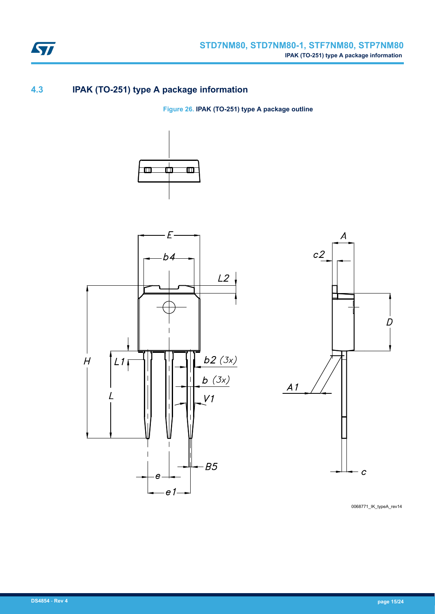

# **4.3 IPAK (TO-251) type A package information**

**Figure 26. IPAK (TO-251) type A package outline**







0068771\_IK\_typeA\_rev14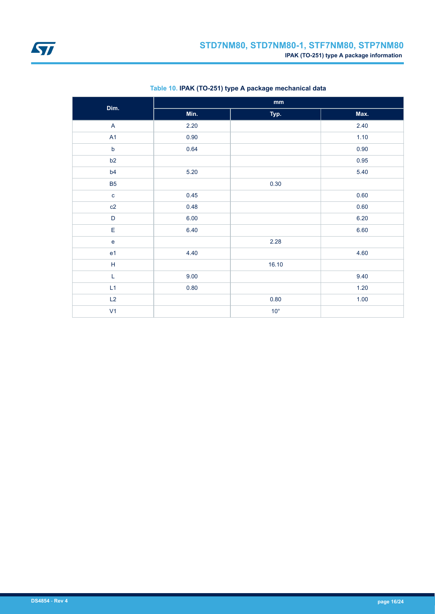<span id="page-15-0"></span>

| Dim.                    | $\mathop{\mathsf{mm}}\nolimits$ |              |      |
|-------------------------|---------------------------------|--------------|------|
|                         | Min.                            | Typ.         | Max. |
| $\overline{\mathsf{A}}$ | 2.20                            |              | 2.40 |
| A1                      | 0.90                            |              | 1.10 |
| $\mathsf b$             | 0.64                            |              | 0.90 |
| b2                      |                                 |              | 0.95 |
| b4                      | 5.20                            |              | 5.40 |
| <b>B5</b>               |                                 | 0.30         |      |
| $\mathbf c$             | 0.45                            |              | 0.60 |
| c2                      | 0.48                            |              | 0.60 |
| $\mathsf D$             | 6.00                            |              | 6.20 |
| E                       | 6.40                            |              | 6.60 |
| $\mathsf{e}$            |                                 | 2.28         |      |
| e <sub>1</sub>          | 4.40                            |              | 4.60 |
| $\mathsf H$             |                                 | 16.10        |      |
| $\mathsf L$             | 9.00                            |              | 9.40 |
| L1                      | 0.80                            |              | 1.20 |
| L2                      |                                 | $0.80\,$     | 1.00 |
| V <sub>1</sub>          |                                 | $10^{\circ}$ |      |

### **Table 10. IPAK (TO-251) type A package mechanical data**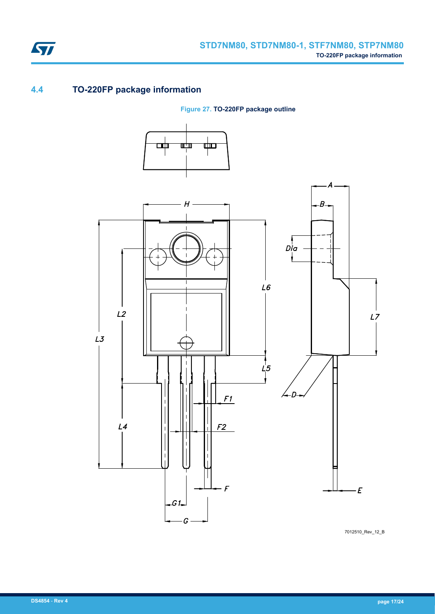

# **4.4 TO-220FP package information**

ST

**Figure 27. TO-220FP package outline**



7012510\_Rev\_12\_B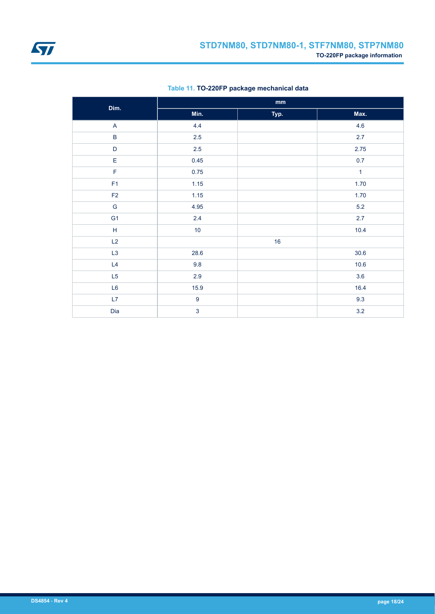<span id="page-17-0"></span>

| Dim.                                                        | $\mathbf{mm}$    |      |              |  |
|-------------------------------------------------------------|------------------|------|--------------|--|
|                                                             | Min.             | Typ. | Max.         |  |
| $\mathsf{A}$                                                | 4.4              |      | 4.6          |  |
| $\sf B$                                                     | $2.5\,$          |      | 2.7          |  |
| $\mathsf D$                                                 | $2.5\,$          |      | 2.75         |  |
| $\mathsf E$                                                 | 0.45             |      | $0.7\,$      |  |
| $\mathsf F$                                                 | 0.75             |      | $\mathbf{1}$ |  |
| F1                                                          | 1.15             |      | 1.70         |  |
| F2                                                          | 1.15             |      | 1.70         |  |
| ${\mathsf G}$                                               | 4.95             |      | $5.2\,$      |  |
| G <sub>1</sub>                                              | $2.4\,$          |      | $2.7\,$      |  |
| $\mathsf{H}% _{\mathbb{R}}^{1}\left( \mathbb{R}^{2}\right)$ | $10\,$           |      | 10.4         |  |
| L2                                                          |                  | 16   |              |  |
| L3                                                          | 28.6             |      | $30.6$       |  |
| L4                                                          | 9.8              |      | 10.6         |  |
| L5                                                          | 2.9              |      | 3.6          |  |
| $\mathsf{L6}$                                               | 15.9             |      | 16.4         |  |
| L7                                                          | $\boldsymbol{9}$ |      | 9.3          |  |
| Dia                                                         | $\overline{3}$   |      | 3.2          |  |

### **Table 11. TO-220FP package mechanical data**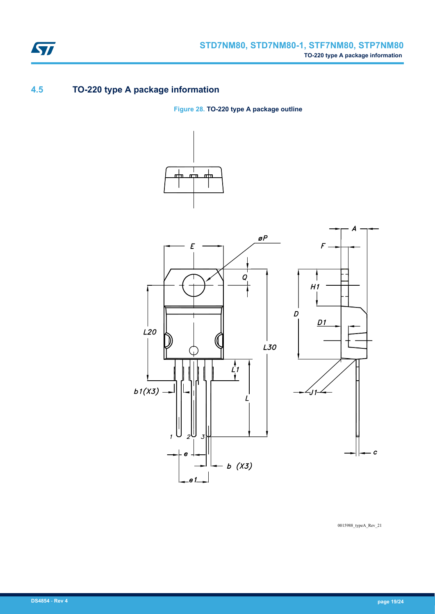

# **4.5 TO-220 type A package information**

**Figure 28. TO-220 type A package outline**





0015988\_typeA\_Rev\_21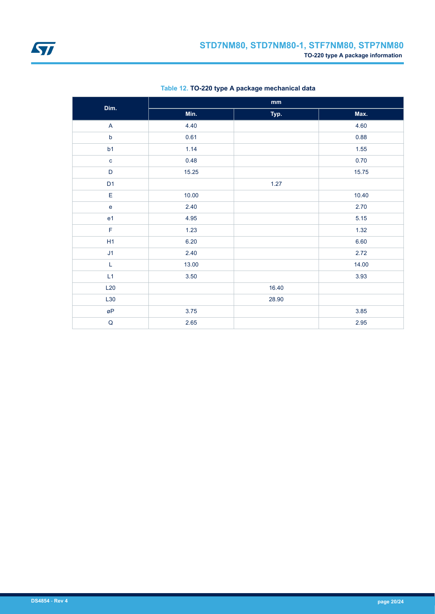

| Dim.           | $\mathbf{mm}$ |       |       |
|----------------|---------------|-------|-------|
|                | Min.          | Typ.  | Max.  |
| $\mathsf A$    | 4.40          |       | 4.60  |
| $\mathsf b$    | 0.61          |       | 0.88  |
| b1             | 1.14          |       | 1.55  |
| $\mathbf c$    | 0.48          |       | 0.70  |
| D              | 15.25         |       | 15.75 |
| D <sub>1</sub> |               | 1.27  |       |
| E              | 10.00         |       | 10.40 |
| $\mathbf e$    | 2.40          |       | 2.70  |
| e <sub>1</sub> | 4.95          |       | 5.15  |
| $\mathsf F$    | 1.23          |       | 1.32  |
| H1             | 6.20          |       | 6.60  |
| J1             | 2.40          |       | 2.72  |
| L              | 13.00         |       | 14.00 |
| L1             | 3.50          |       | 3.93  |
| L20            |               | 16.40 |       |
| L30            |               | 28.90 |       |
| øΡ             | 3.75          |       | 3.85  |
| ${\sf Q}$      | 2.65          |       | 2.95  |

### **Table 12. TO-220 type A package mechanical data**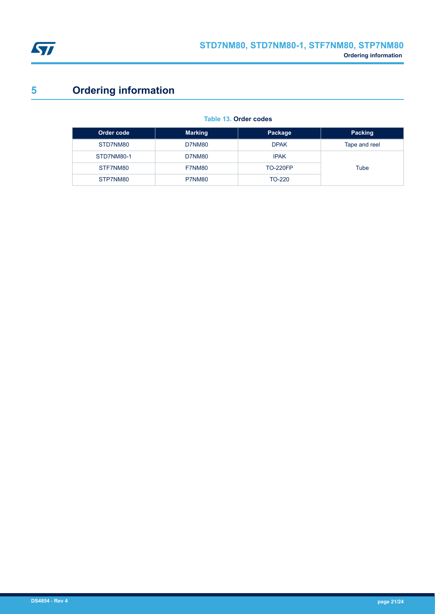<span id="page-20-0"></span>

# **5 Ordering information**

| Order code | <b>Marking</b>               | Package         | Packing       |
|------------|------------------------------|-----------------|---------------|
| STD7NM80   | <b>DPAK</b><br><b>D7NM80</b> |                 | Tape and reel |
| STD7NM80-1 | <b>D7NM80</b>                | <b>IPAK</b>     |               |
| STF7NM80   | F7NM80                       | <b>TO-220FP</b> | Tube          |
| STP7NM80   | P7NM80                       | TO-220          |               |

#### **Table 13. Order codes**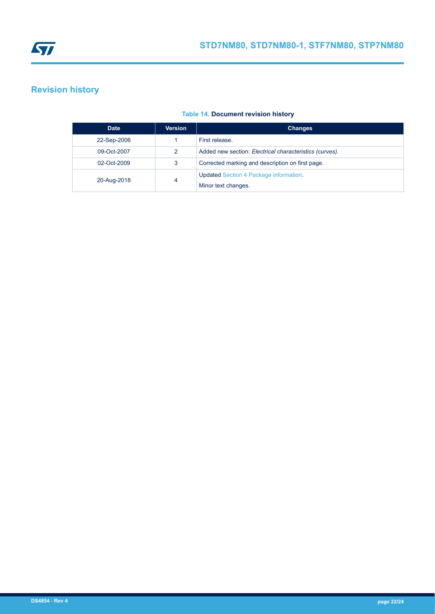<span id="page-21-0"></span>

# **Revision history**

### **Table 14. Document revision history**

| <b>Date</b> | <b>Version</b> | <b>Changes</b>                                          |
|-------------|----------------|---------------------------------------------------------|
| 22-Sep-2006 |                | First release.                                          |
| 09-Oct-2007 | 2              | Added new section: Electrical characteristics (curves). |
| 02-Oct-2009 | 3              | Corrected marking and description on first page.        |
| 20-Aug-2018 | 4              | <b>Updated Section 4 Package information.</b>           |
|             |                | Minor text changes.                                     |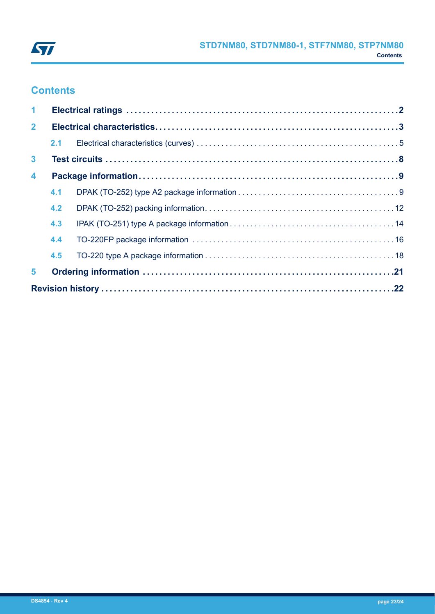

# **Contents**

| $\blacktriangleleft$    |     |  |  |
|-------------------------|-----|--|--|
| $\overline{2}$          |     |  |  |
|                         | 2.1 |  |  |
| $\mathbf{3}$            |     |  |  |
| $\overline{\mathbf{4}}$ |     |  |  |
|                         | 4.1 |  |  |
|                         | 4.2 |  |  |
|                         | 4.3 |  |  |
|                         | 4.4 |  |  |
|                         | 4.5 |  |  |
| 5                       |     |  |  |
|                         |     |  |  |